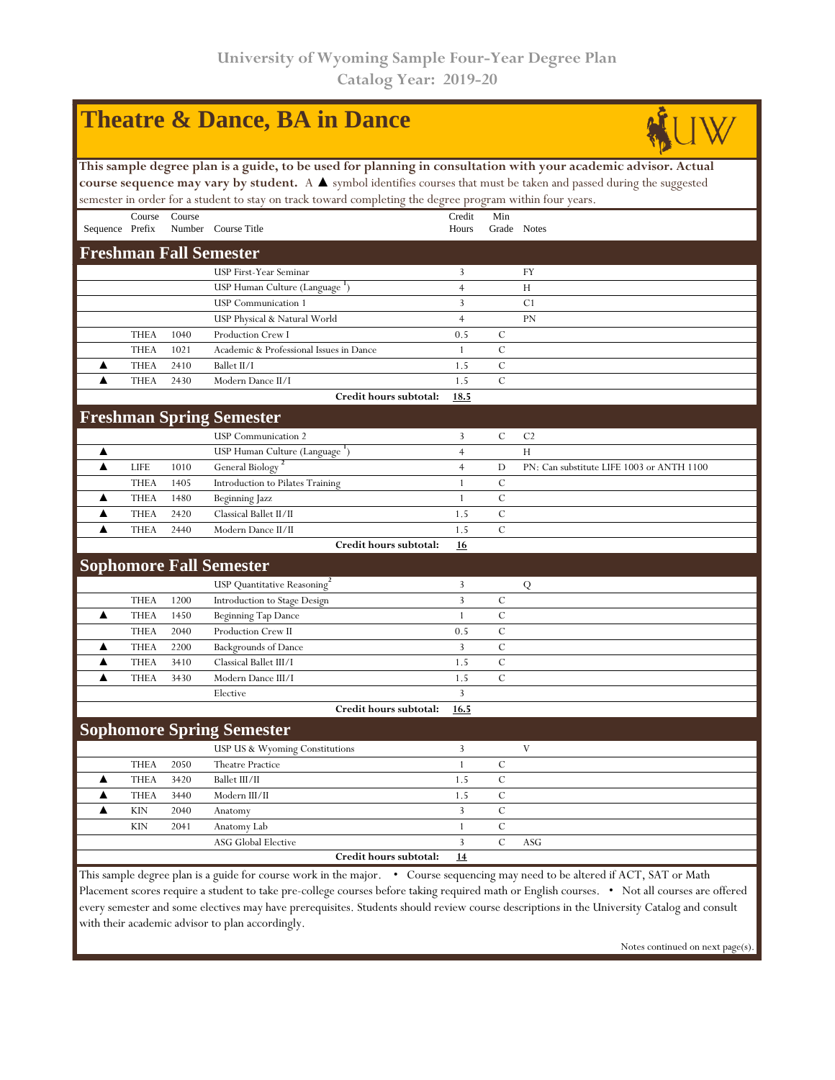|                                                                                                                                 |             |        | <b>Theatre &amp; Dance, BA in Dance</b>                                                                        |                |               |                                           |  |  |  |  |
|---------------------------------------------------------------------------------------------------------------------------------|-------------|--------|----------------------------------------------------------------------------------------------------------------|----------------|---------------|-------------------------------------------|--|--|--|--|
|                                                                                                                                 |             |        | This sample degree plan is a guide, to be used for planning in consultation with your academic advisor. Actual |                |               |                                           |  |  |  |  |
| course sequence may vary by student. A A symbol identifies courses that must be taken and passed during the suggested           |             |        |                                                                                                                |                |               |                                           |  |  |  |  |
| semester in order for a student to stay on track toward completing the degree program within four years.                        |             |        |                                                                                                                |                |               |                                           |  |  |  |  |
|                                                                                                                                 | Course      | Course |                                                                                                                | Credit         | Min           |                                           |  |  |  |  |
| Sequence Prefix                                                                                                                 |             |        | Number Course Title                                                                                            | Hours          | Grade Notes   |                                           |  |  |  |  |
| <b>Freshman Fall Semester</b>                                                                                                   |             |        |                                                                                                                |                |               |                                           |  |  |  |  |
|                                                                                                                                 |             |        | <b>USP First-Year Seminar</b>                                                                                  | 3              |               | FY                                        |  |  |  |  |
|                                                                                                                                 |             |        | USP Human Culture (Language ')                                                                                 | $\overline{4}$ |               | H                                         |  |  |  |  |
|                                                                                                                                 |             |        | <b>USP</b> Communication 1                                                                                     | 3              |               | C <sub>1</sub>                            |  |  |  |  |
|                                                                                                                                 |             |        | USP Physical & Natural World                                                                                   | $\overline{4}$ |               | <b>PN</b>                                 |  |  |  |  |
|                                                                                                                                 | <b>THEA</b> | 1040   | Production Crew I                                                                                              | 0.5            | C             |                                           |  |  |  |  |
|                                                                                                                                 | <b>THEA</b> | 1021   | Academic & Professional Issues in Dance                                                                        | 1              | $\mathcal{C}$ |                                           |  |  |  |  |
| ▲                                                                                                                               | <b>THEA</b> | 2410   | Ballet II/I                                                                                                    | 1.5            | $\mathcal{C}$ |                                           |  |  |  |  |
| ▲                                                                                                                               | <b>THEA</b> | 2430   | Modern Dance II/I                                                                                              | 1.5            | $\mathcal{C}$ |                                           |  |  |  |  |
|                                                                                                                                 |             |        | Credit hours subtotal:                                                                                         | 18.5           |               |                                           |  |  |  |  |
|                                                                                                                                 |             |        | <b>Freshman Spring Semester</b>                                                                                |                |               |                                           |  |  |  |  |
|                                                                                                                                 |             |        | <b>USP</b> Communication 2                                                                                     | 3              | C             | C <sub>2</sub>                            |  |  |  |  |
| ▲                                                                                                                               |             |        | USP Human Culture (Language ')                                                                                 | 4              |               | H                                         |  |  |  |  |
| ▲                                                                                                                               | <b>LIFE</b> | 1010   | General Biology <sup>2</sup>                                                                                   | $\overline{4}$ | D             | PN: Can substitute LIFE 1003 or ANTH 1100 |  |  |  |  |
|                                                                                                                                 | <b>THEA</b> | 1405   | Introduction to Pilates Training                                                                               | 1              | C             |                                           |  |  |  |  |
| ▲                                                                                                                               | <b>THEA</b> | 1480   | Beginning Jazz                                                                                                 | 1              | $\mathcal{C}$ |                                           |  |  |  |  |
| ▲                                                                                                                               | <b>THEA</b> | 2420   | Classical Ballet II/II                                                                                         | 1.5            | $\mathcal{C}$ |                                           |  |  |  |  |
| ▲                                                                                                                               | <b>THEA</b> | 2440   | Modern Dance II/II                                                                                             | 1.5            | $\mathcal{C}$ |                                           |  |  |  |  |
|                                                                                                                                 |             |        | Credit hours subtotal:                                                                                         | 16             |               |                                           |  |  |  |  |
|                                                                                                                                 |             |        | <b>Sophomore Fall Semester</b>                                                                                 |                |               |                                           |  |  |  |  |
|                                                                                                                                 |             |        | USP Quantitative Reasoning <sup>2</sup>                                                                        | 3              |               | Q                                         |  |  |  |  |
|                                                                                                                                 | <b>THEA</b> | 1200   | Introduction to Stage Design                                                                                   | 3              | $\mathcal{C}$ |                                           |  |  |  |  |
| ▲                                                                                                                               | <b>THEA</b> | 1450   | <b>Beginning Tap Dance</b>                                                                                     | 1              | C             |                                           |  |  |  |  |
|                                                                                                                                 | <b>THEA</b> | 2040   | Production Crew II                                                                                             | 0.5            | $\mathcal{C}$ |                                           |  |  |  |  |
| ▲                                                                                                                               | <b>THEA</b> | 2200   | <b>Backgrounds of Dance</b>                                                                                    | 3              | $\mathcal{C}$ |                                           |  |  |  |  |
| ▲                                                                                                                               | <b>THEA</b> | 3410   | Classical Ballet III/I                                                                                         | 1.5            | $\mathcal{C}$ |                                           |  |  |  |  |
| ▲                                                                                                                               | <b>THEA</b> | 3430   | Modern Dance III/I                                                                                             | 1.5            | $\mathcal{C}$ |                                           |  |  |  |  |
|                                                                                                                                 |             |        | Elective                                                                                                       | 3              |               |                                           |  |  |  |  |
|                                                                                                                                 |             |        | Credit hours subtotal:                                                                                         | 16.5           |               |                                           |  |  |  |  |
|                                                                                                                                 |             |        | <b>Sophomore Spring Semester</b>                                                                               |                |               |                                           |  |  |  |  |
|                                                                                                                                 |             |        | USP US & Wyoming Constitutions                                                                                 | 3              |               | V                                         |  |  |  |  |
|                                                                                                                                 | <b>THEA</b> | 2050   | <b>Theatre Practice</b>                                                                                        | $\mathbf{1}$   | $\mathcal{C}$ |                                           |  |  |  |  |
| ▲                                                                                                                               | <b>THEA</b> | 3420   | Ballet III/II                                                                                                  | 1.5            | $\mathcal{C}$ |                                           |  |  |  |  |
| ▲                                                                                                                               | <b>THEA</b> | 3440   | Modern III/II                                                                                                  | 1.5            | $\mathcal{C}$ |                                           |  |  |  |  |
| ▲                                                                                                                               | <b>KIN</b>  | 2040   | Anatomy                                                                                                        | 3              | $\mathcal{C}$ |                                           |  |  |  |  |
|                                                                                                                                 | <b>KIN</b>  | 2041   | Anatomy Lab                                                                                                    | $\mathbf{1}$   | $\mathcal{C}$ |                                           |  |  |  |  |
|                                                                                                                                 |             |        | <b>ASG Global Elective</b>                                                                                     | 3              | $\mathcal{C}$ | ASG                                       |  |  |  |  |
|                                                                                                                                 |             |        | Credit hours subtotal:                                                                                         | 14             |               |                                           |  |  |  |  |
| This sample degree plan is a guide for course work in the major. • Course sequencing may need to be altered if ACT, SAT or Math |             |        |                                                                                                                |                |               |                                           |  |  |  |  |

Placement scores require a student to take pre-college courses before taking required math or English courses. • Not all courses are offered every semester and some electives may have prerequisites. Students should review course descriptions in the University Catalog and consult with their academic advisor to plan accordingly.

Notes continued on next page(s).